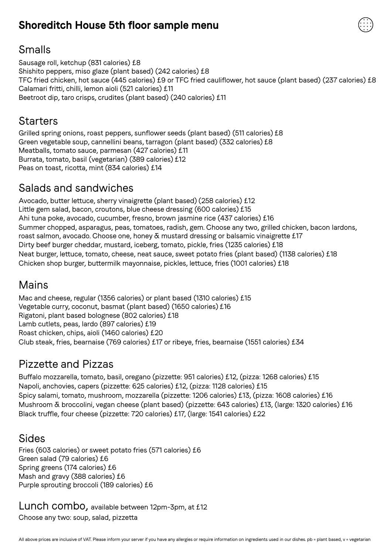## **Shoreditch House 5th floor sample menu**



### Smalls

Sausage roll, ketchup (831 calories) £8 Shishito peppers, miso glaze (plant based) (242 calories) £8 TFC fried chicken, hot sauce (445 calories) £9 or TFC fried cauliflower, hot sauce (plant based) (237 calories) £8 Calamari fritti, chilli, lemon aioli (521 calories) £11 Beetroot dip, taro crisps, crudites (plant based) (240 calories) £11

#### **Starters**

Grilled spring onions, roast peppers, sunflower seeds (plant based) (511 calories) £8 Green vegetable soup, cannellini beans, tarragon (plant based) (332 calories) £8 Meatballs, tomato sauce, parmesan (427 calories) £11 Burrata, tomato, basil (vegetarian) (389 calories) £12 Peas on toast, ricotta, mint (834 calories) £14

## Salads and sandwiches

Avocado, butter lettuce, sherry vinaigrette (plant based) (258 calories) £12 Little gem salad, bacon, croutons, blue cheese dressing (600 calories) £15 Ahi tuna poke, avocado, cucumber, fresno, brown jasmine rice (437 calories) £16 Summer chopped, asparagus, peas, tomatoes, radish, gem. Choose any two, grilled chicken, bacon lardons, roast salmon, avocado. Choose one, honey & mustard dressing or balsamic vinaigrette £17 Dirty beef burger cheddar, mustard, iceberg, tomato, pickle, fries (1235 calories) £18 Neat burger, lettuce, tomato, cheese, neat sauce, sweet potato fries (plant based) (1138 calories) £18 Chicken shop burger, buttermilk mayonnaise, pickles, lettuce, fries (1001 calories) £18

## Mains

Mac and cheese, regular (1356 calories) or plant based (1310 calories) £15 Vegetable curry, coconut, basmat (plant based) (1650 calories) £16 Rigatoni, plant based bolognese (802 calories) £18 Lamb cutlets, peas, lardo (897 calories) £19 Roast chicken, chips, aioli (1460 calories) £20 Club steak, fries, bearnaise (769 calories) £17 or ribeye, fries, bearnaise (1551 calories) £34

# Pizzette and Pizzas

Buffalo mozzarella, tomato, basil, oregano (pizzette: 951 calories) £12, (pizza: 1268 calories) £15 Napoli, anchovies, capers (pizzette: 625 calories) £12, (pizza: 1128 calories) £15 Spicy salami, tomato, mushroom, mozzarella (pizzette: 1206 calories) £13, (pizza: 1608 calories) £16 Mushroom & broccolini, vegan cheese (plant based) (pizzette: 643 calories) £13, (large: 1320 calories) £16 Black truffle, four cheese (pizzette: 720 calories) £17, (large: 1541 calories) £22

#### Sides

Fries (603 calories) or sweet potato fries (571 calories) £6 Green salad (79 calories) £6 Spring greens (174 calories) £6 Mash and gravy (388 calories) £6 Purple sprouting broccoli (189 calories) £6

Lunch combo, available between 12pm-3pm, at £12 Choose any two: soup, salad, pizzetta